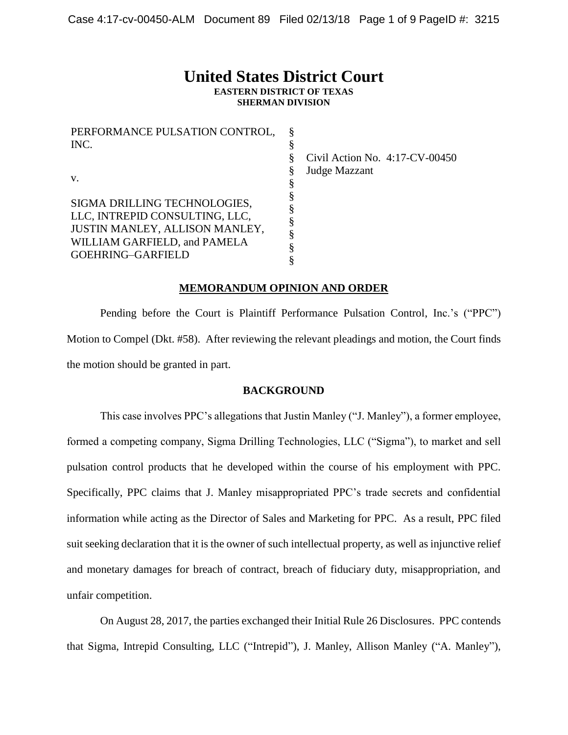# **United States District Court EASTERN DISTRICT OF TEXAS SHERMAN DIVISION**

PERFORMANCE PULSATION CONTROL, INC. v. SIGMA DRILLING TECHNOLOGIES, LLC, INTREPID CONSULTING, LLC, JUSTIN MANLEY, ALLISON MANLEY, WILLIAM GARFIELD, and PAMELA GOEHRING–GARFIELD § § § § § § § § § § §

Civil Action No. 4:17-CV-00450 Judge Mazzant

### **MEMORANDUM OPINION AND ORDER**

Pending before the Court is Plaintiff Performance Pulsation Control, Inc.'s ("PPC") Motion to Compel (Dkt. #58). After reviewing the relevant pleadings and motion, the Court finds the motion should be granted in part.

### **BACKGROUND**

This case involves PPC's allegations that Justin Manley ("J. Manley"), a former employee, formed a competing company, Sigma Drilling Technologies, LLC ("Sigma"), to market and sell pulsation control products that he developed within the course of his employment with PPC. Specifically, PPC claims that J. Manley misappropriated PPC's trade secrets and confidential information while acting as the Director of Sales and Marketing for PPC. As a result, PPC filed suit seeking declaration that it is the owner of such intellectual property, as well as injunctive relief and monetary damages for breach of contract, breach of fiduciary duty, misappropriation, and unfair competition.

On August 28, 2017, the parties exchanged their Initial Rule 26 Disclosures. PPC contends that Sigma, Intrepid Consulting, LLC ("Intrepid"), J. Manley, Allison Manley ("A. Manley"),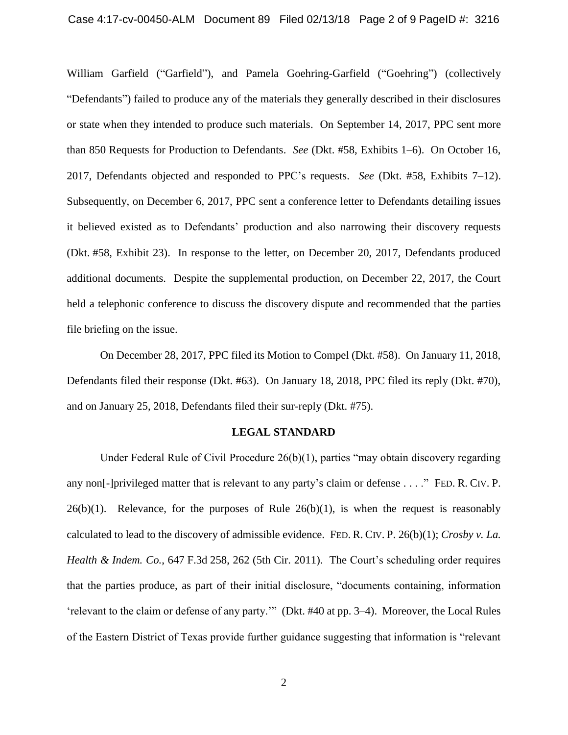William Garfield ("Garfield"), and Pamela Goehring-Garfield ("Goehring") (collectively "Defendants") failed to produce any of the materials they generally described in their disclosures or state when they intended to produce such materials. On September 14, 2017, PPC sent more than 850 Requests for Production to Defendants. *See* (Dkt. #58, Exhibits 1–6). On October 16, 2017, Defendants objected and responded to PPC's requests. *See* (Dkt. #58, Exhibits 7–12). Subsequently, on December 6, 2017, PPC sent a conference letter to Defendants detailing issues it believed existed as to Defendants' production and also narrowing their discovery requests (Dkt. #58, Exhibit 23). In response to the letter, on December 20, 2017, Defendants produced additional documents. Despite the supplemental production, on December 22, 2017, the Court held a telephonic conference to discuss the discovery dispute and recommended that the parties file briefing on the issue.

On December 28, 2017, PPC filed its Motion to Compel (Dkt. #58). On January 11, 2018, Defendants filed their response (Dkt. #63). On January 18, 2018, PPC filed its reply (Dkt. #70), and on January 25, 2018, Defendants filed their sur-reply (Dkt. #75).

#### **LEGAL STANDARD**

Under Federal Rule of Civil Procedure 26(b)(1), parties "may obtain discovery regarding any non[-]privileged matter that is relevant to any party's claim or defense . . . ." FED. R. CIV. P.  $26(b)(1)$ . Relevance, for the purposes of Rule  $26(b)(1)$ , is when the request is reasonably calculated to lead to the discovery of admissible evidence. FED. R. CIV. P. 26(b)(1); *Crosby v. La. Health & Indem. Co.*, 647 F.3d 258, 262 (5th Cir. 2011). The Court's scheduling order requires that the parties produce, as part of their initial disclosure, "documents containing, information 'relevant to the claim or defense of any party.'" (Dkt. #40 at pp. 3–4). Moreover, the Local Rules of the Eastern District of Texas provide further guidance suggesting that information is "relevant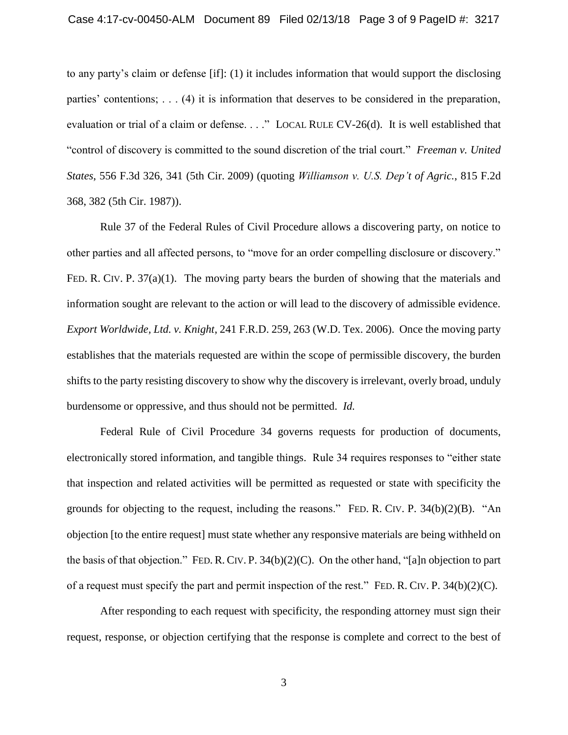to any party's claim or defense [if]: (1) it includes information that would support the disclosing parties' contentions; . . . (4) it is information that deserves to be considered in the preparation, evaluation or trial of a claim or defense. . . ." LOCAL RULE CV-26(d). It is well established that "control of discovery is committed to the sound discretion of the trial court." *Freeman v. United States*, 556 F.3d 326, 341 (5th Cir. 2009) (quoting *Williamson v. U.S. Dep't of Agric.*, 815 F.2d 368, 382 (5th Cir. 1987)).

Rule 37 of the Federal Rules of Civil Procedure allows a discovering party, on notice to other parties and all affected persons, to "move for an order compelling disclosure or discovery." FED. R. CIV. P. 37(a)(1). The moving party bears the burden of showing that the materials and information sought are relevant to the action or will lead to the discovery of admissible evidence. *Export Worldwide, Ltd. v. Knight*, 241 F.R.D. 259, 263 (W.D. Tex. 2006). Once the moving party establishes that the materials requested are within the scope of permissible discovery, the burden shifts to the party resisting discovery to show why the discovery is irrelevant, overly broad, unduly burdensome or oppressive, and thus should not be permitted. *Id.*

Federal Rule of Civil Procedure 34 governs requests for production of documents, electronically stored information, and tangible things. Rule 34 requires responses to "either state that inspection and related activities will be permitted as requested or state with specificity the grounds for objecting to the request, including the reasons." FED. R. CIV. P. 34(b)(2)(B). "An objection [to the entire request] must state whether any responsive materials are being withheld on the basis of that objection." FED. R. CIV. P. 34(b)(2)(C). On the other hand, "[a]n objection to part of a request must specify the part and permit inspection of the rest." FED. R. CIV. P.  $34(b)(2)(C)$ .

After responding to each request with specificity, the responding attorney must sign their request, response, or objection certifying that the response is complete and correct to the best of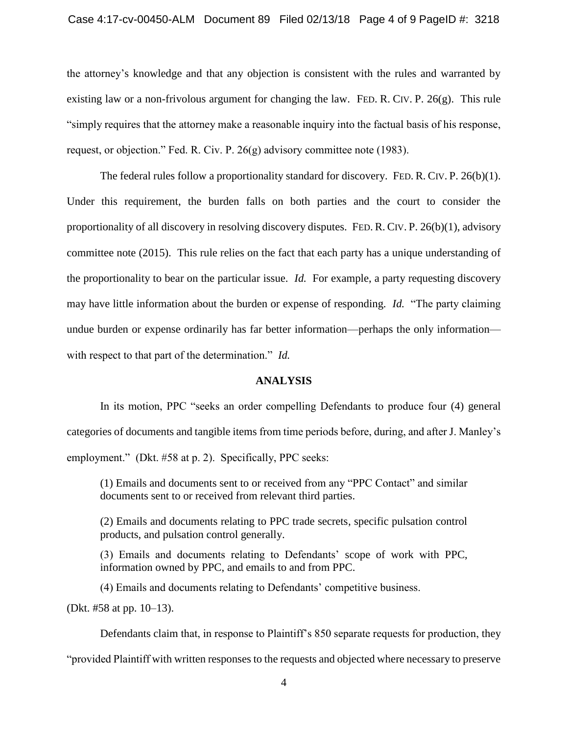the attorney's knowledge and that any objection is consistent with the rules and warranted by existing law or a non-frivolous argument for changing the law. FED. R. CIV. P. 26(g). This rule "simply requires that the attorney make a reasonable inquiry into the factual basis of his response, request, or objection." Fed. R. Civ. P. 26(g) advisory committee note (1983).

The federal rules follow a proportionality standard for discovery. FED. R. CIV. P. 26(b)(1). Under this requirement, the burden falls on both parties and the court to consider the proportionality of all discovery in resolving discovery disputes. FED. R. CIV. P. 26(b)(1), advisory committee note (2015). This rule relies on the fact that each party has a unique understanding of the proportionality to bear on the particular issue. *Id.* For example, a party requesting discovery may have little information about the burden or expense of responding. *Id.* "The party claiming undue burden or expense ordinarily has far better information—perhaps the only information with respect to that part of the determination." *Id.*

#### **ANALYSIS**

In its motion, PPC "seeks an order compelling Defendants to produce four (4) general categories of documents and tangible items from time periods before, during, and after J. Manley's employment." (Dkt. #58 at p. 2). Specifically, PPC seeks:

(1) Emails and documents sent to or received from any "PPC Contact" and similar documents sent to or received from relevant third parties.

(2) Emails and documents relating to PPC trade secrets, specific pulsation control products, and pulsation control generally.

(3) Emails and documents relating to Defendants' scope of work with PPC, information owned by PPC, and emails to and from PPC.

(4) Emails and documents relating to Defendants' competitive business.

(Dkt. #58 at pp. 10–13).

Defendants claim that, in response to Plaintiff's 850 separate requests for production, they "provided Plaintiff with written responses to the requests and objected where necessary to preserve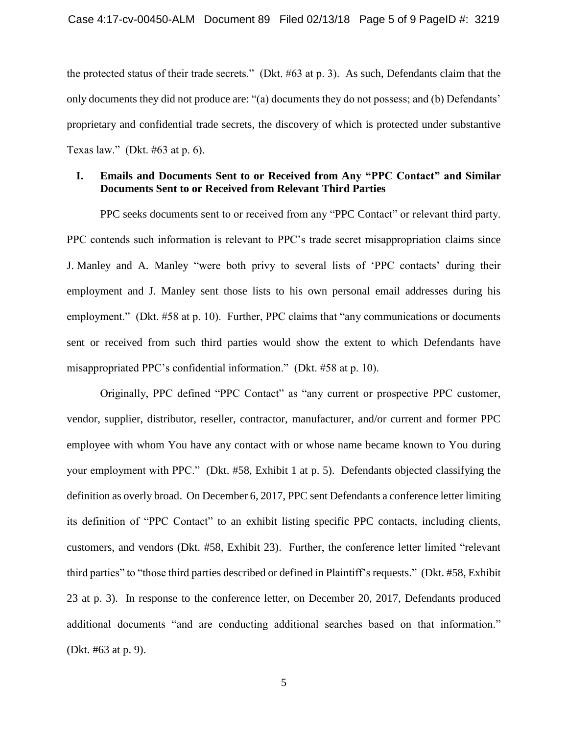the protected status of their trade secrets." (Dkt. #63 at p. 3). As such, Defendants claim that the only documents they did not produce are: "(a) documents they do not possess; and (b) Defendants' proprietary and confidential trade secrets, the discovery of which is protected under substantive Texas law." (Dkt. #63 at p. 6).

## **I. Emails and Documents Sent to or Received from Any "PPC Contact" and Similar Documents Sent to or Received from Relevant Third Parties**

PPC seeks documents sent to or received from any "PPC Contact" or relevant third party. PPC contends such information is relevant to PPC's trade secret misappropriation claims since J. Manley and A. Manley "were both privy to several lists of 'PPC contacts' during their employment and J. Manley sent those lists to his own personal email addresses during his employment." (Dkt. #58 at p. 10). Further, PPC claims that "any communications or documents sent or received from such third parties would show the extent to which Defendants have misappropriated PPC's confidential information." (Dkt. #58 at p. 10).

Originally, PPC defined "PPC Contact" as "any current or prospective PPC customer, vendor, supplier, distributor, reseller, contractor, manufacturer, and/or current and former PPC employee with whom You have any contact with or whose name became known to You during your employment with PPC." (Dkt. #58, Exhibit 1 at p. 5). Defendants objected classifying the definition as overly broad. On December 6, 2017, PPC sent Defendants a conference letter limiting its definition of "PPC Contact" to an exhibit listing specific PPC contacts, including clients, customers, and vendors (Dkt. #58, Exhibit 23). Further, the conference letter limited "relevant third parties" to "those third parties described or defined in Plaintiff's requests." (Dkt. #58, Exhibit 23 at p. 3). In response to the conference letter, on December 20, 2017, Defendants produced additional documents "and are conducting additional searches based on that information." (Dkt. #63 at p. 9).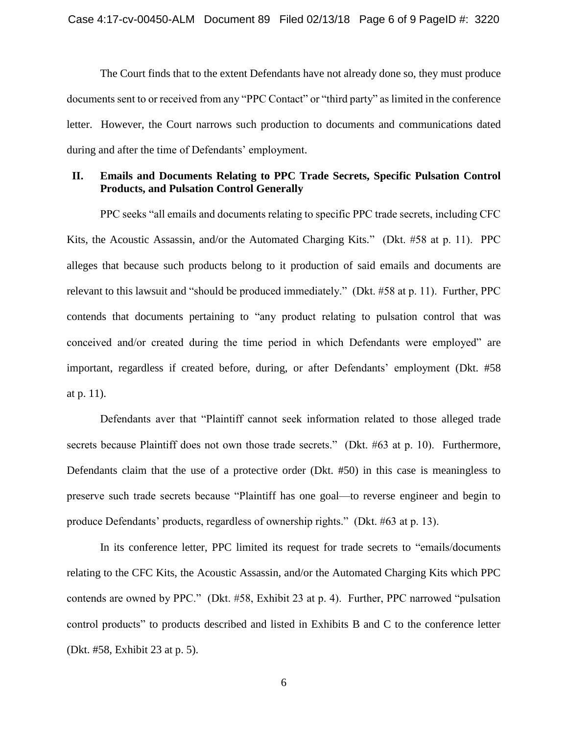The Court finds that to the extent Defendants have not already done so, they must produce documents sent to or received from any "PPC Contact" or "third party" as limited in the conference letter. However, the Court narrows such production to documents and communications dated during and after the time of Defendants' employment.

## **II. Emails and Documents Relating to PPC Trade Secrets, Specific Pulsation Control Products, and Pulsation Control Generally**

PPC seeks "all emails and documents relating to specific PPC trade secrets, including CFC Kits, the Acoustic Assassin, and/or the Automated Charging Kits." (Dkt. #58 at p. 11). PPC alleges that because such products belong to it production of said emails and documents are relevant to this lawsuit and "should be produced immediately." (Dkt. #58 at p. 11). Further, PPC contends that documents pertaining to "any product relating to pulsation control that was conceived and/or created during the time period in which Defendants were employed" are important, regardless if created before, during, or after Defendants' employment (Dkt. #58 at p. 11).

Defendants aver that "Plaintiff cannot seek information related to those alleged trade secrets because Plaintiff does not own those trade secrets." (Dkt. #63 at p. 10). Furthermore, Defendants claim that the use of a protective order (Dkt. #50) in this case is meaningless to preserve such trade secrets because "Plaintiff has one goal—to reverse engineer and begin to produce Defendants' products, regardless of ownership rights." (Dkt. #63 at p. 13).

In its conference letter, PPC limited its request for trade secrets to "emails/documents relating to the CFC Kits, the Acoustic Assassin, and/or the Automated Charging Kits which PPC contends are owned by PPC." (Dkt. #58, Exhibit 23 at p. 4). Further, PPC narrowed "pulsation control products" to products described and listed in Exhibits B and C to the conference letter (Dkt. #58, Exhibit 23 at p. 5).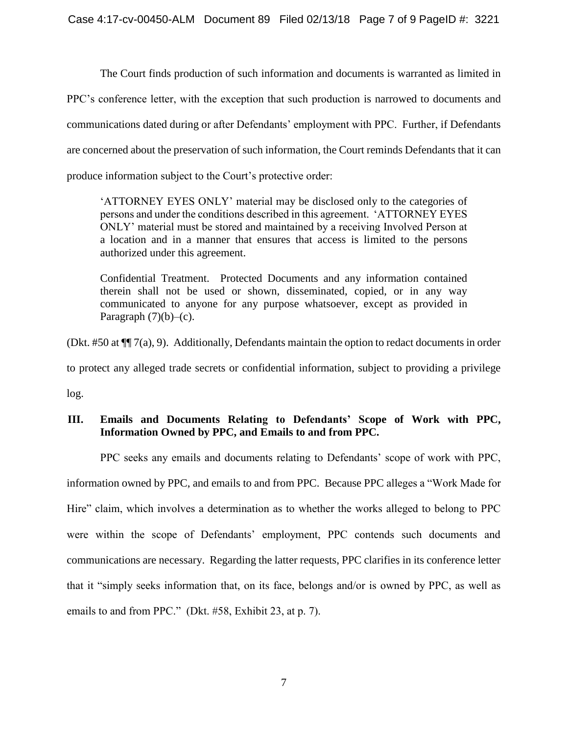The Court finds production of such information and documents is warranted as limited in PPC's conference letter, with the exception that such production is narrowed to documents and communications dated during or after Defendants' employment with PPC. Further, if Defendants are concerned about the preservation of such information, the Court reminds Defendants that it can produce information subject to the Court's protective order:

'ATTORNEY EYES ONLY' material may be disclosed only to the categories of persons and under the conditions described in this agreement. 'ATTORNEY EYES ONLY' material must be stored and maintained by a receiving Involved Person at a location and in a manner that ensures that access is limited to the persons authorized under this agreement.

Confidential Treatment. Protected Documents and any information contained therein shall not be used or shown, disseminated, copied, or in any way communicated to anyone for any purpose whatsoever, except as provided in Paragraph  $(7)(b)$ – $(c)$ .

(Dkt. #50 at ¶¶ 7(a), 9). Additionally, Defendants maintain the option to redact documents in order

to protect any alleged trade secrets or confidential information, subject to providing a privilege

log.

## **III. Emails and Documents Relating to Defendants' Scope of Work with PPC, Information Owned by PPC, and Emails to and from PPC.**

PPC seeks any emails and documents relating to Defendants' scope of work with PPC, information owned by PPC, and emails to and from PPC. Because PPC alleges a "Work Made for Hire" claim, which involves a determination as to whether the works alleged to belong to PPC were within the scope of Defendants' employment, PPC contends such documents and communications are necessary. Regarding the latter requests, PPC clarifies in its conference letter that it "simply seeks information that, on its face, belongs and/or is owned by PPC, as well as emails to and from PPC." (Dkt. #58, Exhibit 23, at p. 7).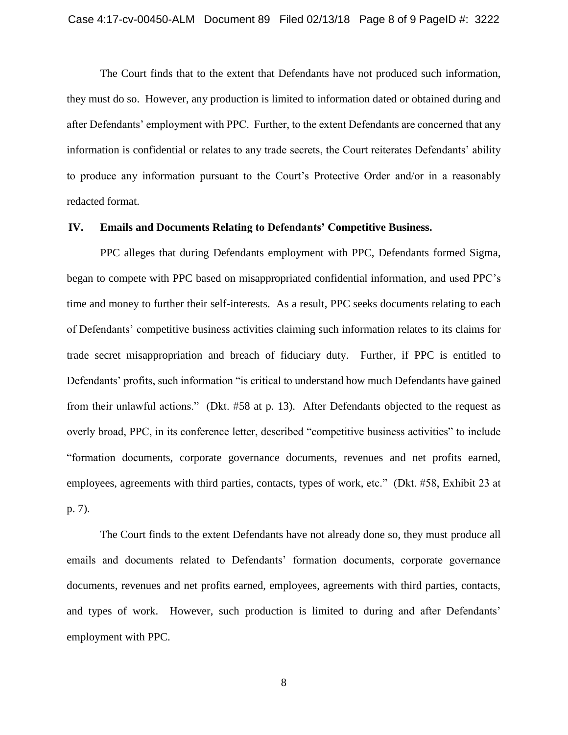The Court finds that to the extent that Defendants have not produced such information, they must do so. However, any production is limited to information dated or obtained during and after Defendants' employment with PPC. Further, to the extent Defendants are concerned that any information is confidential or relates to any trade secrets, the Court reiterates Defendants' ability to produce any information pursuant to the Court's Protective Order and/or in a reasonably redacted format.

### **IV. Emails and Documents Relating to Defendants' Competitive Business.**

PPC alleges that during Defendants employment with PPC, Defendants formed Sigma, began to compete with PPC based on misappropriated confidential information, and used PPC's time and money to further their self-interests. As a result, PPC seeks documents relating to each of Defendants' competitive business activities claiming such information relates to its claims for trade secret misappropriation and breach of fiduciary duty. Further, if PPC is entitled to Defendants' profits, such information "is critical to understand how much Defendants have gained from their unlawful actions." (Dkt. #58 at p. 13). After Defendants objected to the request as overly broad, PPC, in its conference letter, described "competitive business activities" to include "formation documents, corporate governance documents, revenues and net profits earned, employees, agreements with third parties, contacts, types of work, etc." (Dkt. #58, Exhibit 23 at p. 7).

The Court finds to the extent Defendants have not already done so, they must produce all emails and documents related to Defendants' formation documents, corporate governance documents, revenues and net profits earned, employees, agreements with third parties, contacts, and types of work. However, such production is limited to during and after Defendants' employment with PPC.

8